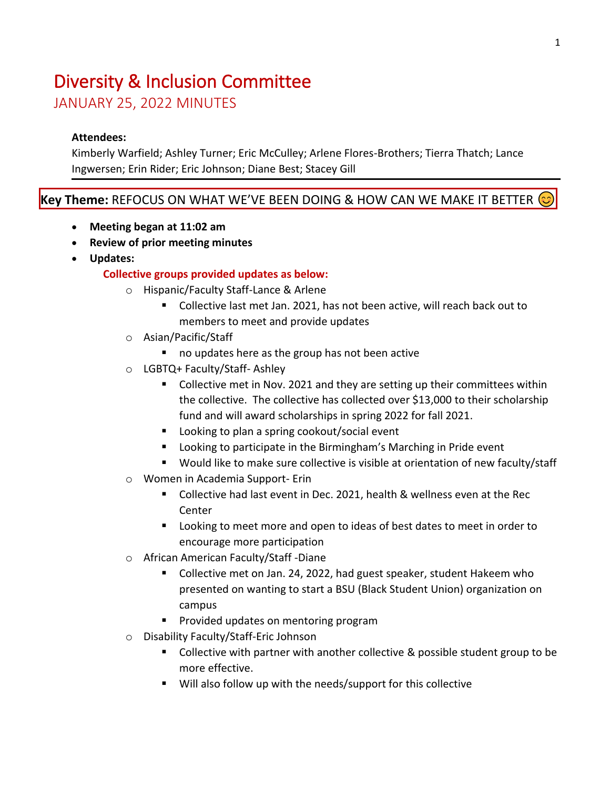# Diversity & Inclusion Committee

JANUARY 25, 2022 MINUTES

## **Attendees:**

Kimberly Warfield; Ashley Turner; Eric McCulley; Arlene Flores-Brothers; Tierra Thatch; Lance Ingwersen; Erin Rider; Eric Johnson; Diane Best; Stacey Gill

## **Key Theme:** REFOCUS ON WHAT WE'VE BEEN DOING & HOW CAN WE MAKE IT BETTER

- **Meeting began at 11:02 am**
- **Review of prior meeting minutes**
- **Updates:**

## **Collective groups provided updates as below:**

- o Hispanic/Faculty Staff-Lance & Arlene
	- Collective last met Jan. 2021, has not been active, will reach back out to members to meet and provide updates
- o Asian/Pacific/Staff
	- no updates here as the group has not been active
- o LGBTQ+ Faculty/Staff- Ashley
	- Collective met in Nov. 2021 and they are setting up their committees within the collective. The collective has collected over \$13,000 to their scholarship fund and will award scholarships in spring 2022 for fall 2021.
	- Looking to plan a spring cookout/social event
	- Looking to participate in the Birmingham's Marching in Pride event
	- Would like to make sure collective is visible at orientation of new faculty/staff
- o Women in Academia Support- Erin
	- Collective had last event in Dec. 2021, health & wellness even at the Rec Center
	- Looking to meet more and open to ideas of best dates to meet in order to encourage more participation
- o African American Faculty/Staff -Diane
	- Collective met on Jan. 24, 2022, had guest speaker, student Hakeem who presented on wanting to start a BSU (Black Student Union) organization on campus
	- Provided updates on mentoring program
- o Disability Faculty/Staff-Eric Johnson
	- Collective with partner with another collective & possible student group to be more effective.
	- Will also follow up with the needs/support for this collective